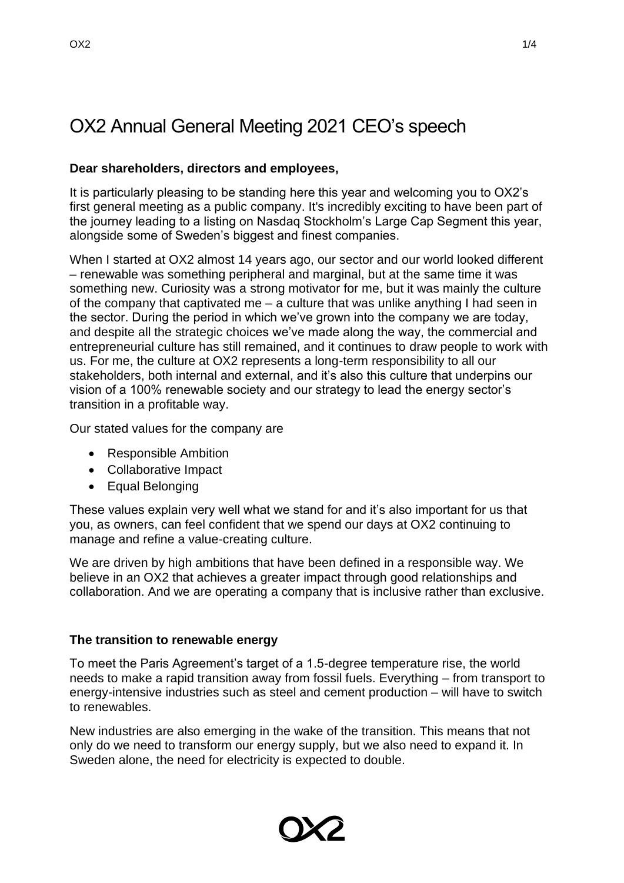# OX2 Annual General Meeting 2021 CEO's speech

# **Dear shareholders, directors and employees,**

It is particularly pleasing to be standing here this year and welcoming you to OX2's first general meeting as a public company. It's incredibly exciting to have been part of the journey leading to a listing on Nasdaq Stockholm's Large Cap Segment this year, alongside some of Sweden's biggest and finest companies.

When I started at OX2 almost 14 years ago, our sector and our world looked different – renewable was something peripheral and marginal, but at the same time it was something new. Curiosity was a strong motivator for me, but it was mainly the culture of the company that captivated me – a culture that was unlike anything I had seen in the sector. During the period in which we've grown into the company we are today, and despite all the strategic choices we've made along the way, the commercial and entrepreneurial culture has still remained, and it continues to draw people to work with us. For me, the culture at OX2 represents a long-term responsibility to all our stakeholders, both internal and external, and it's also this culture that underpins our vision of a 100% renewable society and our strategy to lead the energy sector's transition in a profitable way.

Our stated values for the company are

- Responsible Ambition
- Collaborative Impact
- Equal Belonging

These values explain very well what we stand for and it's also important for us that you, as owners, can feel confident that we spend our days at OX2 continuing to manage and refine a value-creating culture.

We are driven by high ambitions that have been defined in a responsible way. We believe in an OX2 that achieves a greater impact through good relationships and collaboration. And we are operating a company that is inclusive rather than exclusive.

## **The transition to renewable energy**

To meet the Paris Agreement's target of a 1.5-degree temperature rise, the world needs to make a rapid transition away from fossil fuels. Everything – from transport to energy-intensive industries such as steel and cement production – will have to switch to renewables.

New industries are also emerging in the wake of the transition. This means that not only do we need to transform our energy supply, but we also need to expand it. In Sweden alone, the need for electricity is expected to double.

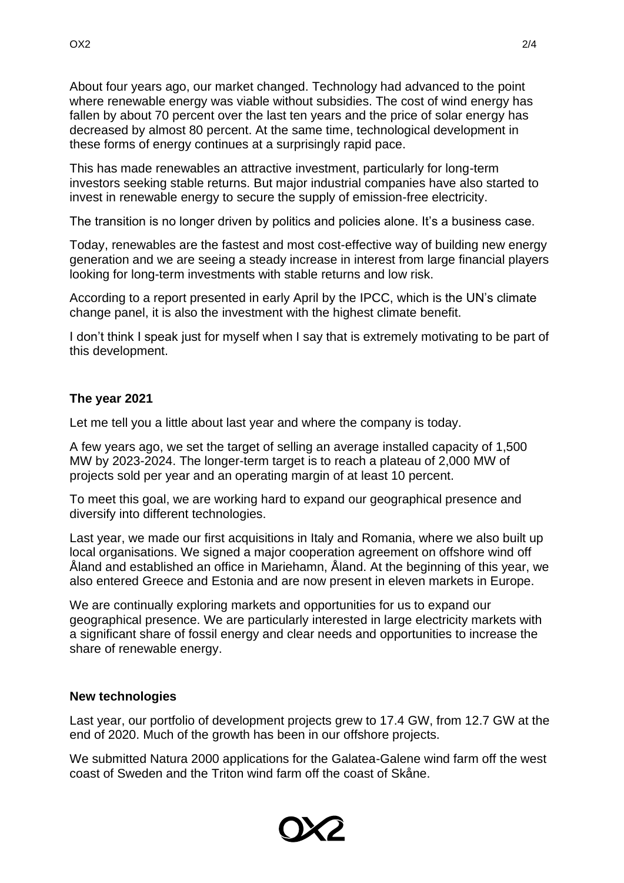About four years ago, our market changed. Technology had advanced to the point where renewable energy was viable without subsidies. The cost of wind energy has fallen by about 70 percent over the last ten years and the price of solar energy has decreased by almost 80 percent. At the same time, technological development in these forms of energy continues at a surprisingly rapid pace.

This has made renewables an attractive investment, particularly for long-term investors seeking stable returns. But major industrial companies have also started to invest in renewable energy to secure the supply of emission-free electricity.

The transition is no longer driven by politics and policies alone. It's a business case.

Today, renewables are the fastest and most cost-effective way of building new energy generation and we are seeing a steady increase in interest from large financial players looking for long-term investments with stable returns and low risk.

According to a report presented in early April by the IPCC, which is the UN's climate change panel, it is also the investment with the highest climate benefit.

I don't think I speak just for myself when I say that is extremely motivating to be part of this development.

## **The year 2021**

Let me tell you a little about last year and where the company is today.

A few years ago, we set the target of selling an average installed capacity of 1,500 MW by 2023-2024. The longer-term target is to reach a plateau of 2,000 MW of projects sold per year and an operating margin of at least 10 percent.

To meet this goal, we are working hard to expand our geographical presence and diversify into different technologies.

Last year, we made our first acquisitions in Italy and Romania, where we also built up local organisations. We signed a major cooperation agreement on offshore wind off Åland and established an office in Mariehamn, Åland. At the beginning of this year, we also entered Greece and Estonia and are now present in eleven markets in Europe.

We are continually exploring markets and opportunities for us to expand our geographical presence. We are particularly interested in large electricity markets with a significant share of fossil energy and clear needs and opportunities to increase the share of renewable energy.

#### **New technologies**

Last year, our portfolio of development projects grew to 17.4 GW, from 12.7 GW at the end of 2020. Much of the growth has been in our offshore projects.

We submitted Natura 2000 applications for the Galatea-Galene wind farm off the west coast of Sweden and the Triton wind farm off the coast of Skåne.

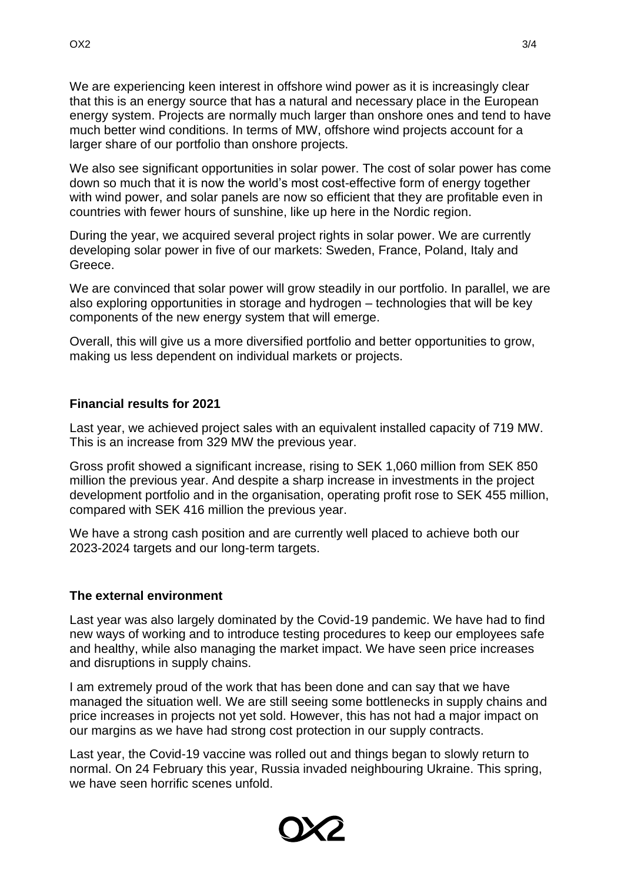We are experiencing keen interest in offshore wind power as it is increasingly clear that this is an energy source that has a natural and necessary place in the European energy system. Projects are normally much larger than onshore ones and tend to have much better wind conditions. In terms of MW, offshore wind projects account for a larger share of our portfolio than onshore projects.

We also see significant opportunities in solar power. The cost of solar power has come down so much that it is now the world's most cost-effective form of energy together with wind power, and solar panels are now so efficient that they are profitable even in countries with fewer hours of sunshine, like up here in the Nordic region.

During the year, we acquired several project rights in solar power. We are currently developing solar power in five of our markets: Sweden, France, Poland, Italy and Greece.

We are convinced that solar power will grow steadily in our portfolio. In parallel, we are also exploring opportunities in storage and hydrogen – technologies that will be key components of the new energy system that will emerge.

Overall, this will give us a more diversified portfolio and better opportunities to grow, making us less dependent on individual markets or projects.

## **Financial results for 2021**

Last year, we achieved project sales with an equivalent installed capacity of 719 MW. This is an increase from 329 MW the previous year.

Gross profit showed a significant increase, rising to SEK 1,060 million from SEK 850 million the previous year. And despite a sharp increase in investments in the project development portfolio and in the organisation, operating profit rose to SEK 455 million, compared with SEK 416 million the previous year.

We have a strong cash position and are currently well placed to achieve both our 2023-2024 targets and our long-term targets.

#### **The external environment**

Last year was also largely dominated by the Covid-19 pandemic. We have had to find new ways of working and to introduce testing procedures to keep our employees safe and healthy, while also managing the market impact. We have seen price increases and disruptions in supply chains.

I am extremely proud of the work that has been done and can say that we have managed the situation well. We are still seeing some bottlenecks in supply chains and price increases in projects not yet sold. However, this has not had a major impact on our margins as we have had strong cost protection in our supply contracts.

Last year, the Covid-19 vaccine was rolled out and things began to slowly return to normal. On 24 February this year, Russia invaded neighbouring Ukraine. This spring, we have seen horrific scenes unfold.